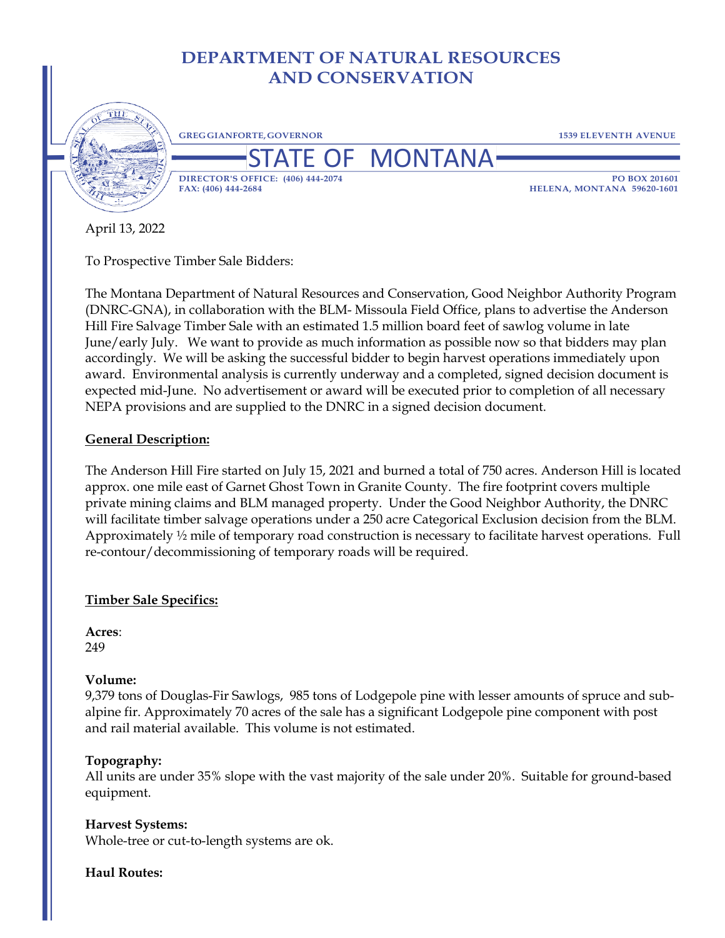# **DEPARTMENT OF NATURAL RESOURCES AND CONSERVATION**



April 13, 2022

To Prospective Timber Sale Bidders:

The Montana Department of Natural Resources and Conservation, Good Neighbor Authority Program (DNRC-GNA), in collaboration with the BLM- Missoula Field Office, plans to advertise the Anderson Hill Fire Salvage Timber Sale with an estimated 1.5 million board feet of sawlog volume in late June/early July. We want to provide as much information as possible now so that bidders may plan accordingly. We will be asking the successful bidder to begin harvest operations immediately upon award. Environmental analysis is currently underway and a completed, signed decision document is expected mid-June. No advertisement or award will be executed prior to completion of all necessary NEPA provisions and are supplied to the DNRC in a signed decision document.

# **General Description:**

The Anderson Hill Fire started on July 15, 2021 and burned a total of 750 acres. Anderson Hill is located approx. one mile east of Garnet Ghost Town in Granite County. The fire footprint covers multiple private mining claims and BLM managed property. Under the Good Neighbor Authority, the DNRC will facilitate timber salvage operations under a 250 acre Categorical Exclusion decision from the BLM. Approximately ½ mile of temporary road construction is necessary to facilitate harvest operations. Full re-contour/decommissioning of temporary roads will be required.

# **Timber Sale Specifics:**

**Acres**: 249

### **Volume:**

9,379 tons of Douglas-Fir Sawlogs, 985 tons of Lodgepole pine with lesser amounts of spruce and subalpine fir. Approximately 70 acres of the sale has a significant Lodgepole pine component with post and rail material available. This volume is not estimated.

## **Topography:**

All units are under 35% slope with the vast majority of the sale under 20%. Suitable for ground-based equipment.

### **Harvest Systems:**

Whole-tree or cut-to-length systems are ok.

### **Haul Routes:**